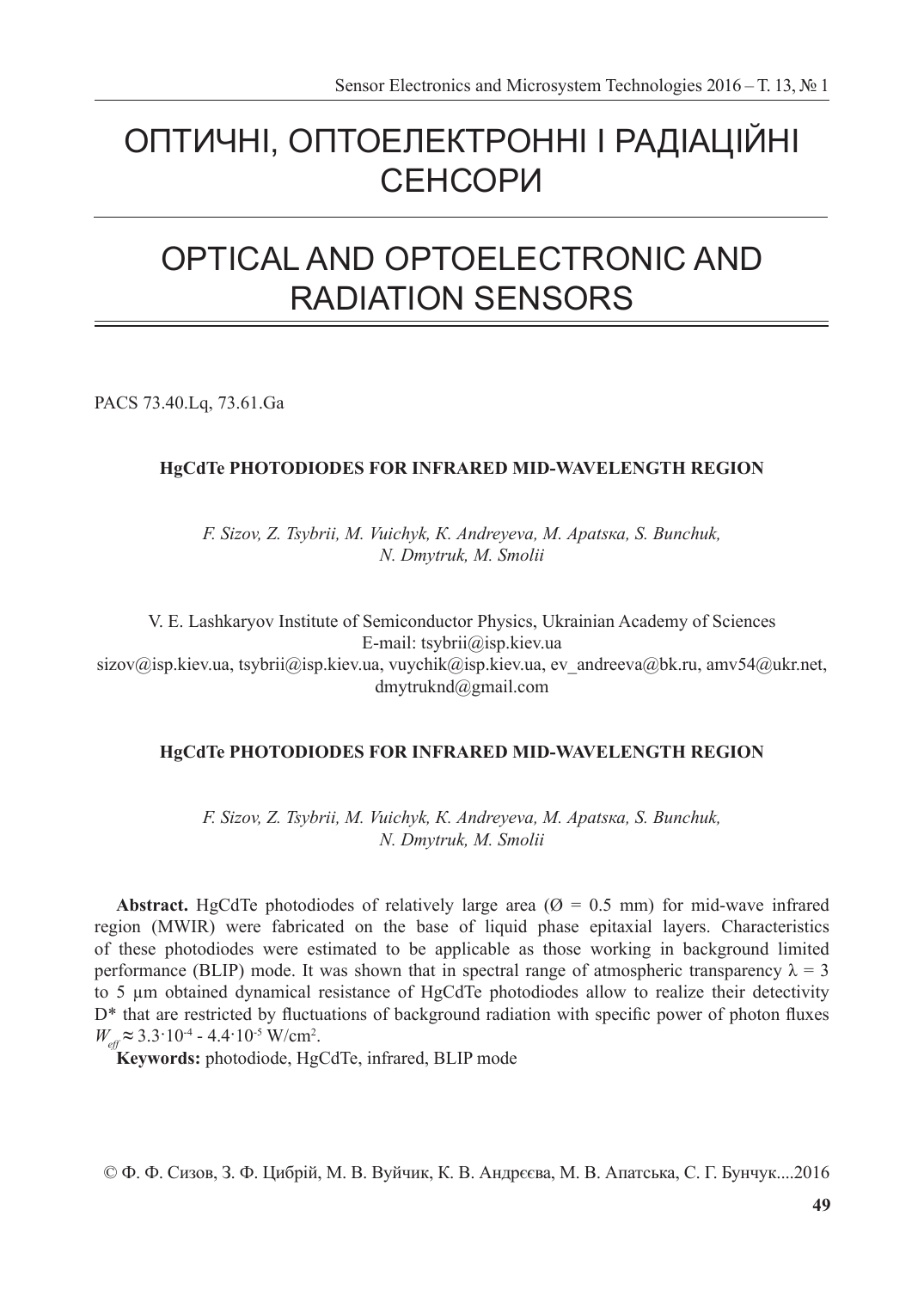# ОПТИЧНІ, ОПТОЕЛЕКТРОННІ І РАДІАЦІЙНІ СЕНСОРИ

# OPTICAL AND OPTOELECTRONIC AND RADIATION SENSORS

PACS 73.40.Lq, 73.61.Ga

# **HgCdTe PHOTODIODES FOR INFRARED MID-WAVELENGTH REGION**

*F. Sizov, Z. Tsybrii, M. Vuichyk, К. Аndreyeva, М. Аpatsка, S. Bunchuk, N. Dmytruk, М. Smolii*

V. E. Lashkaryov Institute of Semiconductor Physics, Ukrainian Academy of Sciences E-mail: tsybrii@isp.kiev.ua sizov@isp.kiev.ua, tsybrii@isp.kiev.ua, vuychik@isp.kiev.ua, ev\_andreeva@bk.ru, amv54@ukr.net, dmytruknd@gmail.com

# **HgCdTe PHOTODIODES FOR INFRARED MID-WAVELENGTH REGION**

*F. Sizov, Z. Tsybrii, M. Vuichyk, К. Аndreyeva, М. Аpatsка, S. Bunchuk, N. Dmytruk, М. Smolii*

**Abstract.** HgCdTe photodiodes of relatively large area ( $\varnothing$  = 0.5 mm) for mid-wave infrared region (MWIR) were fabricated on the base of liquid phase epitaxial layers. Characteristics of these photodiodes were estimated to be applicable as those working in background limited performance (BLIP) mode. It was shown that in spectral range of atmospheric transparency  $\lambda = 3$ to 5 µm obtained dynamical resistance of HgCdTe photodiodes allow to realize their detectivity D<sup>\*</sup> that are restricted by fluctuations of background radiation with specific power of photon fluxes  $W_{\text{eff}} \approx 3.3 \cdot 10^{-4}$  - 4.4  $\cdot 10^{-5}$  W/cm<sup>2</sup>.

**Keywords:** photodiode, HgCdTe, infrared, BLIP mode

© Ф. Ф. Сизов, З. Ф. Цибрій, М. В. Вуйчик, К. В. Андрєєва, М. В. Апатська, С. Г. Бунчук....2016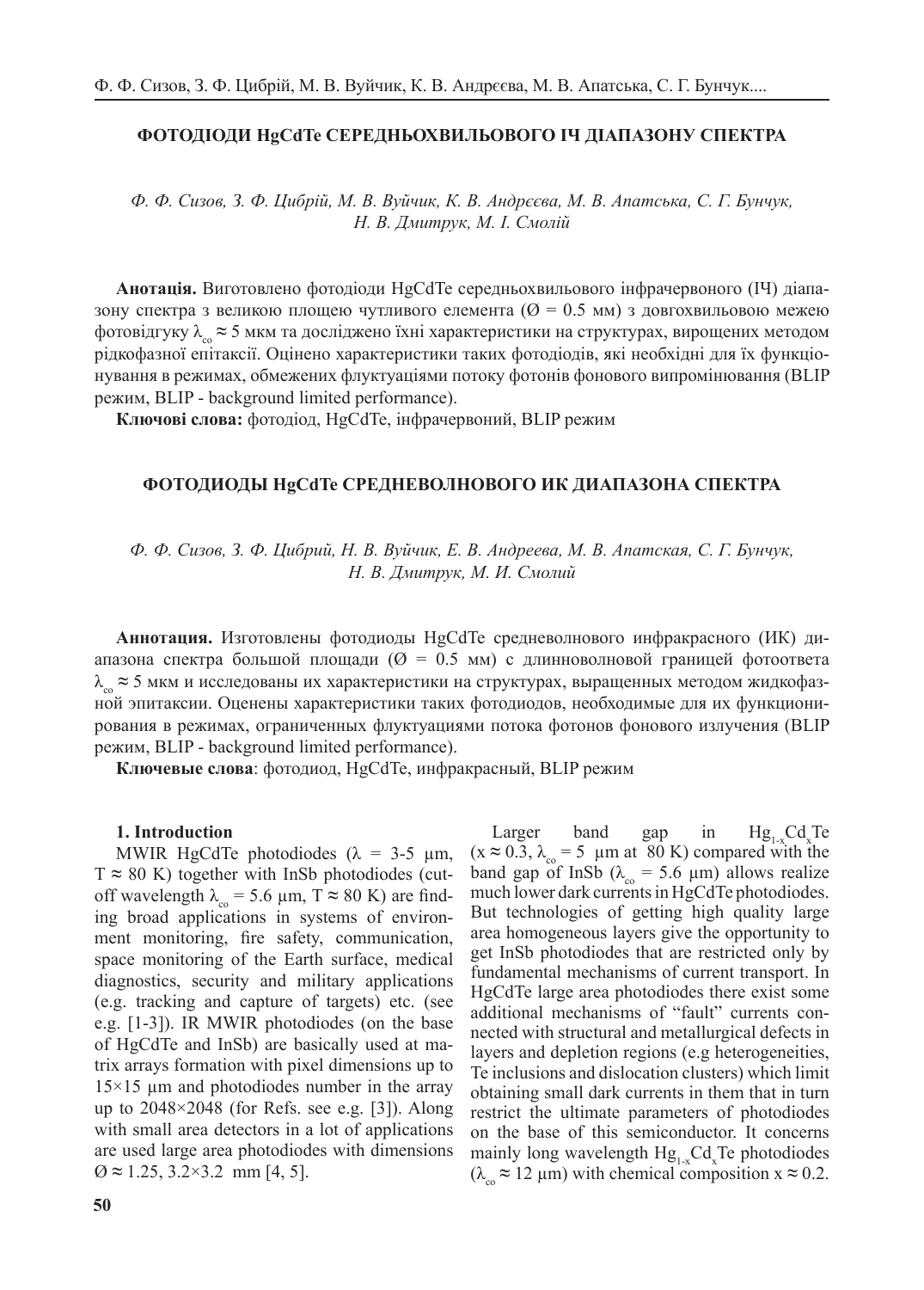## **ФОТОДІОДИ HgCdTe СЕРЕДНЬОХВИЛЬОВОГО ІЧ ДІАПАЗОНУ СПЕКТРА**

*Ф. Ф. Сизов, З. Ф. Цибрій, М. В. Вуйчик, К. В. Андрєєва, М. В. Апатська, С. Г. Бунчук, Н. В. Дмитрук, М. І. Смолій*

**Анотація.** Виготовлено фотодіоди HgCdTe середньохвильового інфрачервоного (ІЧ) діапазону спектра з великою площею чутливого елемента ( $\varnothing = 0.5$  мм) з довгохвильовою межею фотовідгуку  $\lambda_{\alpha}$  ≈ 5 мкм та досліджено їхні характеристики на структурах, вирощених методом рідкофазної епітаксії. Оцінено характеристики таких фотодіодів, які необхідні для їх функціонування в режимах, обмежених флуктуаціями потоку фотонів фонового випромінювання (BLIP режим, BLIP - background limited performance).

**Ключові слова:** фотодіод, HgCdTe, інфрачервоний, BLIP режим

### **ФОТОДИОДЫ HgCdTe СРЕДНЕВОЛНОВОГО ИК ДИАПАЗОНА СПЕКТРА**

*Ф. Ф. Сизов, З. Ф. Цибрий, Н. В. Вуйчик, Е. В. Андреева, М. В. Апатская, С. Г. Бунчук, Н. В. Дмитрук, М. И. Смолий*

**Аннотация.** Изготовлены фотодиоды HgCdTe средневолнового инфракрасного (ИК) диапазона спектра большой площади ( $\varnothing = 0.5$  мм) с длинноволновой границей фотоответа  $\lambda_{\rm co}$  ≈ 5 мкм и исследованы их характеристики на структурах, выращенных методом жидкофазной эпитаксии. Оценены характеристики таких фотодиодов, необходимые для их функционирования в режимах, ограниченных флуктуациями потока фотонов фонового излучения (BLIP режим, BLIP - background limited performance).

**Ключевые слова**: фотодиод, HgCdTe, инфракрасный, BLIP режим

#### **1. Introduction**

MWIR HgCdTe photodiodes ( $\lambda = 3-5$  µm,  $T \approx 80$  K) together with InSb photodiodes (cutoff wavelength  $\lambda_{\rm co} = 5.6 \ \mu \text{m}$ , T  $\approx 80 \ \text{K}$ ) are finding broad applications in systems of environment monitoring, fire safety, communication, space monitoring of the Earth surface, medical diagnostics, security and military applications (e.g. tracking and capture of targets) etc. (see e.g. [1-3]). IR MWIR photodiodes (on the base of HgCdTe and InSb) are basically used at matrix arrays formation with pixel dimensions up to  $15\times15$  µm and photodiodes number in the array up to  $2048 \times 2048$  (for Refs. see e.g. [3]). Along with small area detectors in a lot of applications are used large area photodiodes with dimensions Ø **≈** 1.25, 3.2×3.2 mm [4, 5].

Larger band gap in  $Hg_{1-x}Cd_x$  $Hg_{1x}Cd_xTe$  $(x \approx 0.3, \lambda_{\rm co} = 5 \mu m$  at 80 K) compared with the band gap of InSb ( $\lambda_{\text{eq}} = 5.6 \text{ }\mu\text{m}$ ) allows realize much lower dark currents in HgCdTe photodiodes. But technologies of getting high quality large area homogeneous layers give the opportunity to get InSb photodiodes that are restricted only by fundamental mechanisms of current transport. In HgCdTe large area photodiodes there exist some additional mechanisms of "fault" currents connected with structural and metallurgical defects in layers and depletion regions (e.g heterogeneities, Te inclusions and dislocation clusters) which limit obtaining small dark currents in them that in turn restrict the ultimate parameters of photodiodes on the base of this semiconductor. It concerns mainly long wavelength  $Hg_{1-x}Cd_xTe$  photodiodes  $(\lambda_{\infty} \approx 12 \text{ }\mu\text{m})$  with chemical composition  $x \approx 0.2$ .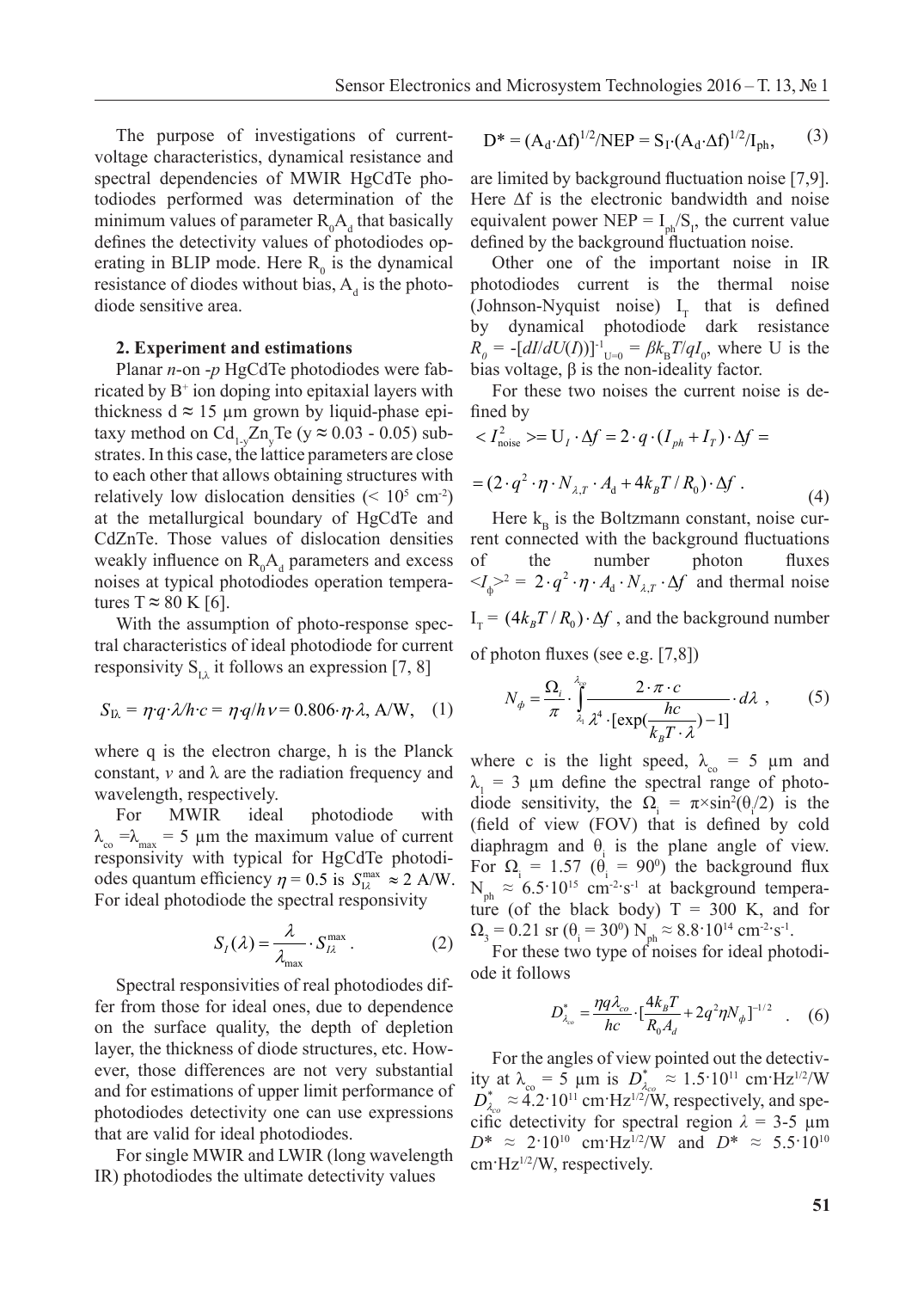For single MWIR and LWIR (long wavelength IR) photodiodes the ultimate detectivity

The purpose of investigations of current-<br> $D^* = (A_d \cdot \Delta f)^{1/2}/NEP = S_I \cdot (A_d \cdot \Delta f)^{1/2}/I_{ph}$ , voltage characteristics, dynamical resistance and voltage characteristics, dynamical resistance and spectral dependencies of MWIR HgCdTe pho-Referred to the MWIR TigCuTc photographic and todiodes performed was determination of the F minimum values of parameter  $R_0A_d$  that basically equivalent power NEP =  $I_{ph}/S_p$ , the current defines the detectivity values of photodiodes op-<br>defined by the background fluctuation nois erating in BLIP mode. Here  $R_0$  is the dynamical of the important noise<br>resistance of diades without hise A, is the photo substantial photographs is the thermal resistance of diodes without bias,  $A_d$  is the photodiode sensitive area.

#### **2. Experiment and estimations**  $p_{\rm p}$  photodiode sensitive area. operating in BLIP mode. Here R0 is the dynamical resistance of diodes without bias, Ad is the

**2. 2. Experiment and** *F* **i Experiment and** *F* **i Experiment and the state of the state of the state of the state of the bias voltage, β is the non-ideality factor.** thickness  $d \approx 15$  µm grown by liquid-phase epi- fined by  $\frac{d}{dx} \int \frac{d}{dx} \int \frac{d}{dx} \int \frac{d}{dx} \int \frac{d}{dx} \int \frac{d}{dx} \int \frac{d}{dx} \int \frac{d}{dx} \int \frac{d}{dx} \int \frac{d}{dx} \int \frac{d}{dx} \int \frac{d}{dx} \int \frac{d}{dx} \int \frac{d}{dx} \int \frac{d}{dx} \int \frac{d}{dx} \int \frac{d}{dx} \int \frac{d}{dx} \int$ taxy method on  $Cd_{1}$ ,  $Zn$ ,  $Te$  ( $y \approx 0.03$  - 0.05) sub-<br>*strates* In this case, the lattice perspectors are close. strates. In this case, the lattice parameters are close to each other that allows obtaining structures with<br>relatively low dislocation densities  $\left(\frac{1}{2}a_1\right)^5$  and  $\left(2 \cdot q^2 \cdot \eta \cdot N_{\lambda,T} \cdot A_d + 4k_B T/R_0\right) \cdot \Delta t$ to each other that allows obtaining structures with  $= (2 \cdot q^2 \cdot \eta \cdot N_{\lambda,r} \cdot A_d + 4k_B T/R_0) \cdot \Delta f$ .<br>relatively low dislocation densities (< 10<sup>5</sup> cm<sup>-2</sup>) at the metallurgical boundary of HgCdTe and Here CdZnTe. Those values of dislocation densities rent connected with the background fluct weakly influence on  $R_0A_d$  parameters and excess noises at typical photodiodes operation tempera-  $\langle A_{\phi} \rangle^2 = 2 \cdot q^2 \cdot \eta \cdot A_d \cdot N_{\lambda, T} \cdot \Delta f$  and tures  $T \approx 80 \text{ K}$  [6].  $\frac{1}{2}$  substrates parameters are close to each other that are close to each other that allows obtaining  $\frac{1}{2}$  of  $\frac{1}{2}$  and  $\frac{1}{2}$  are close to each other than  $\frac{1}{2}$  and  $\frac{1}{2}$  and  $\frac{1}{2}$  and  $\frac{1}{$  $CdZnTe$ . Those values of dislocation densities For the current noise the current noise is defined by  $\frac{1}{2}$  on Cd.  $\frac{7}{2}$  on Cd.  $\frac{7}{2}$  on Cd.  $\frac{7}{2}$  on Cd.  $\frac{7}{2}$  on Cd.  $\frac{7}{2}$  on Cd.

With the assumption of photo-response spectral characteristics of ideal photodiode for current responsivity S<sub>1</sub>, it follows an expression [7, 8] and characteristics of ideal photodrode for current responsivity  $S_{l,\lambda}$  it follows an expression [7, 8]  $S_{L\lambda}$  it follows an expression

$$
S_{\text{IA}} = \eta q \cdot \lambda / h \cdot c = \eta q / h \cdot v = 0.806 \cdot \eta \cdot \lambda, \text{ A/W}, \quad (1) \qquad N_{\phi} = \frac{\Omega_i}{\pi} \cdot \int_{\lambda_i}^{\lambda_i} \frac{2 \cdot \pi \cdot c}{\lambda^4 \cdot [\exp(\frac{hc}{\lambda_i \cdot \pi}) - 1]}
$$

where q is the electron charge, h is the Planck where c is the light speed,  $\lambda = 5$  µm and constant, v and  $\lambda$  are the radiation frequency and  $\lambda_1 = 3$  µm define the spectral range of wavelength, respectively.

For MWIR ideal photodiode with  $λ<sub>co</sub> = λ<sub>max</sub> = 5 μm the maximum value of current diaphragm and  $θ<sub>i</sub>$  is the plane angle of$ responsivity with typical for HgCdTe photodides quantum efficiency  $\eta = 0.5$  is  $S_{\text{IA}}^{\text{max}} \approx 2 \text{ A/W}$ . N  $\approx 6.5 \cdot 10^{15} \text{ cm}^2 \cdot \text{s}^{-1}$  at back For ideal photodiode the spectral responsivity  $\frac{1}{2}$  for  $\frac{1}{2}$  for  $\frac{1}{2}$  for  $\frac{1}{2}$  for  $\frac{1}{2}$  for  $\frac{1}{2}$  for  $\frac{1}{2}$  for  $\frac{1}{2}$  for  $\frac{1}{2}$  for  $\frac{1}{2}$  for  $\frac{1}{2}$  for  $\frac{1}{2}$  for  $\frac{1}{$  $\frac{1}{2}$  For MWIR i

$$
S_I(\lambda) = \frac{\lambda}{\lambda_{\text{max}}} \cdot S_{I\lambda}^{\text{max}}.
$$
 (2)

Spectral responsivities of real photodiodes dif-<br>for from those for ideal ones, due to dependence<br> $\begin{bmatrix} 0 & 1 & 1 \\ 0 & 1 & 0 \end{bmatrix}$   $\begin{bmatrix} 0 & 1 & 1 \\ 0 & 0 & 1 \end{bmatrix}$ fer from those for ideal ones, due to dependence on the surface quality, the depth of depletion layer, the thickness of diode structures, etc. However, those differences are not very substantial  $\frac{1}{2}$  for the angles of view pointed out the de and for estimations of upper limit performance of photodiodes detectivity one can use expressions that are valid for ideal photodiodes. and for estimations of upper limit performance of  $D_{\lambda_{co}}^* \approx 4.2 \cdot 10^{11}$  cm·Hz<sup>1/2/W</sup>, respectively, and spe-<br>photodiodes detectivity, one can use expressions *d со <sup>B</sup> q N*

> For single MWIR and LWIR (long wavelength IR) photodiodes the ultimate detectivity values

$$
D^* = (A_d \cdot \Delta f)^{1/2} / NEP = S_I \cdot (A_d \cdot \Delta f)^{1/2} / I_{ph},
$$
 (3)

performance of photodiodes detectivity one can use expressions that are valid for ideal

are limited by background fluctuation noise [7,9]. Here  $\Delta f$  is the electronic bandwidth and noise ly equivalent power NEP =  $I_{ph}/S_1$ , the current value  $p-$  defined by the background fluctuation noise. limited by background fluctuation noise [7.9]. For single MWIR and LWIR (long wavelength IR) photodiodes the ultimate detectivity

**Planar** *n***-on -***p* **HgCdTe photodiodes were fab-** bias voltage, β is the non-ideality factor. n BLIP mode. Here  $R_0$  is the dynamical other one of the important noise in IR photodiodes current is the thermal noise diode sensitive area. (Johnson-Nyquist noise)  $I_T$  that is defined by dynamical photodiode dark resistance  $R_0 = -[dI/dU(I))]$ <sup>-1</sup><sub>U=0</sub> =  $\beta k_B T/qI_0$ , where U is the bias voltage,  $\beta$  is the non-ideality factor. externative process  $\frac{1}{2}$  and  $\frac{1}{2}$  is the process current value of the background fluctuation  $\frac{1}{2}$ . That is defined  $(Johnson-Nyquist noise)$   $I<sub>r</sub>$  that is defined  $\frac{1}{\sqrt{2}}$  different parameters  $\frac{1}{\sqrt{2}}$ . Here  $\frac{1}{\sqrt{2}}$  is the electronic bandwidth and noise the electronic bandwidth and noise the electronic bandwidth and noise the electronic bandwidth and noise the electron cal

For these two noises the current noise is defined by  $\int \frac{dx}{dt}$  is defined by dynamical photodiode dark resistance  $\int$ equivalent power NEP = Iphology and current value defined by the background fluctuation noise. The background fluctuation noise is the background fluctuation in the background fluctuation in the background fluctuation in t

$$
Cd_{1-y}Zn_yTe (y \approx 0.03 - 0.05) sub-se, the lattice parameters are closeat allows obtaining structures withislocation densities (< 105 cm-2) = (2 \cdot q2 \cdot \eta \cdot N_{\lambda,T} \cdot A_d + 4k_B T/R_0) \cdot \Delta f
$$
 (4)

netallurgical boundary of HgCdTe and Here  $k_B$  is the Boltzmann constant, noise cur-Those values of dislocation densities rent connected with the background fluctuations<br>influence on  $R_A$  parameters and excess of the number photon fluxes of the number photon fluxes  $\langle J_{\phi} \rangle^2 = 2 \cdot q^2 \cdot \eta \cdot A_{d} \cdot N_{\lambda, T} \cdot \Delta f$  and thermal noise ures T  $\approx$  80 K [6].<br>With the assumption of photo-response spec-  $I_T = (4k_B T/R_0) \cdot \Delta f$ , and the background number  $(1 - \frac{1701}{2})$  $\int$  of the number photon fluxes  $a^2$ ,  $n, A, N, Af$  and thermal noise  $H = \frac{1}{\sqrt{2}}$  is the Boltzmann constant, noise current connected with the background fluctuations of  $\frac{1}{\sqrt{2}}$ 

of photon fluxes (see e.g. [7,8]) of photon fluxes (see e.g. [7,8]) con huxes (see e.g.  $[7,9]$ )

1) 
$$
N_{\phi} = \frac{\Omega_i}{\pi} \int_{\lambda_i}^{\lambda_{ce}} \frac{2 \cdot \pi \cdot c}{\lambda^4 \cdot [\exp(\frac{hc}{k_B T \cdot \lambda}) - 1]} \cdot d\lambda,
$$
 (5)

Ext where c is the light speed,  $\lambda_{\infty} = 5 \mu m$  and  $\lambda_1 = 3$  μm define the spectral range of photo-<br>diade consitivity the  $\Omega = \cos(\frac{1}{2} \theta_1/\theta_2)$  is the gth, respectively.<br>MWIR ideal photodiode with diode sensitivity, the  $\Omega_i = \pi \times \sin^2(\theta/2)$  is the  $\frac{\text{th}}{\text{mt}}$  (field of view (FOV) that is defined by cold haximum value of current diaphragm and  $θ_1$  is the plane angle of view. For  $\Omega_i = 1.57$  ( $\theta_i = 90^\circ$ ) the background flux<br>N  $\approx 6.5 \cdot 10^{15}$  gm<sup>-2</sup> s<sup>-1</sup> at background tempore  $N_{ph} \approx 6.5 \cdot 10^{15}$  cm<sup>-2</sup>·s<sup>-1</sup> at background temperature (of the black body)  $T = 300$  K, and for  $Q = 0.21$  sr  $(0.6 \pm 30^0)$  N  $\approx 8.8 \cdot 10^{14}$  cm<sup>-2-s-1</sup>  $\Omega_{3} = 0.21 \text{ sr } (\theta_{i} = 30^{\circ}) \text{ N}_{ph} \approx 8.8 \cdot 10^{14} \text{ cm}^{-2} \cdot \text{s}^{-1}.$ For  $\Omega_1 = 1.57$  ( $\theta_2 = 90^\circ$ ) the background flux  $(21 \text{ sr } (\theta = 30^{\circ}) \text{ N } \approx 8.8 \text{ m})$  $(\theta = 30^{\circ})$  N  $\approx 8.9^{\circ}$ re (of the black body)  $T = 300$  K, and for<br>  $R_3 = 0.21$  sr ( $\theta_i = 30^0$ )  $N_{ph} \approx 8.8 \cdot 10^{14}$  cm<sup>-2</sup> s<sup>-1</sup>. frequency and  $\lambda = 3$  um define the spectral range of photo $λ_1 = 3 \mu m$  define the spectral range of photo-<br>diode sensitivity, the  $Ω = π \times sin^2(θ/2)$  is the e (or the black body)  $1 =$ <br>= 0.21 sr ( $\theta_i = 30^\circ$ ) N<sub>rt</sub>  $\approx 8.8^\circ$  $\mathbf{r}$  ( $\theta$  = 30<sup>0</sup>) N  $\approx 8$  $R_A = 0.21$  sr  $(\theta_i = 30^0)$  N<sub>ph</sub>  $\approx 8.8 \cdot 10^{14}$  cm<sup>-2</sup>:s<sup>-1</sup>.<br>Eas these two type of noises for ideal photodic ht speed,  $\lambda_{\rm co}$  = light speed  $\lambda = 5$ 

For these two type of noises for ideal photodiode it follows *d*  $A_{\text{max}}$  **co**  $A_{\text{max}}$  **co**  $A_{\text{max}}$  **co**  $A_{\text{max}}$  **co**  $A_{\text{max}}$  **co**  $A_{\text{max}}$  **co**  $A_{\text{max}}$  **co**  $A_{\text{max}}$  **co**  $A_{\text{max}}$  **co**  $A_{\text{max}}$  **co**  $A_{\text{max}}$  **co**  $A_{\text{max}}$  **co**  $A_{\text{max}}$  **co**  $A_{\text{max}}$  **co**  $A_{\text{max}}$   $\overline{1}$ *d*  $\frac{10110 \text{WS}}{2 \cdot 41 \text{ T}}$  $\frac{1}{2}$  **d**  $\frac{1}{2}$  *d E*  $\frac{1}{2}$  *na d E T* se two type of noises for ideal photodi-

$$
D_{\lambda_{co}}^{*} = \frac{\eta q \lambda_{co}}{hc} \cdot \left[\frac{4k_{B}T}{R_{0}A_{d}} + 2q^{2}\eta N_{\phi}\right]^{-1/2} \quad . \quad (6)
$$

For the angles of view pointed out the detectivity at  $\lambda_{\rm co} = 5$  µm is  $D_{\lambda_{\rm co}}^* \approx 1.5 \cdot 10^{11}$  cm·Hz<sup>1/2</sup>/W<br> $D_{\rm o}^* \approx 4.2 \cdot 10^{11}$  cm·Hz<sup>1/2</sup>/W respectively and spec cific detectivity for spectral region  $\lambda = 3-5$  µm  $D^* \approx 2.10^{10}$  cm·Hz<sup>1/2</sup>/W and  $D^* \approx 5.5.10^{10}$  $cm·Hz^{1/2}/W$ , respectively. *co*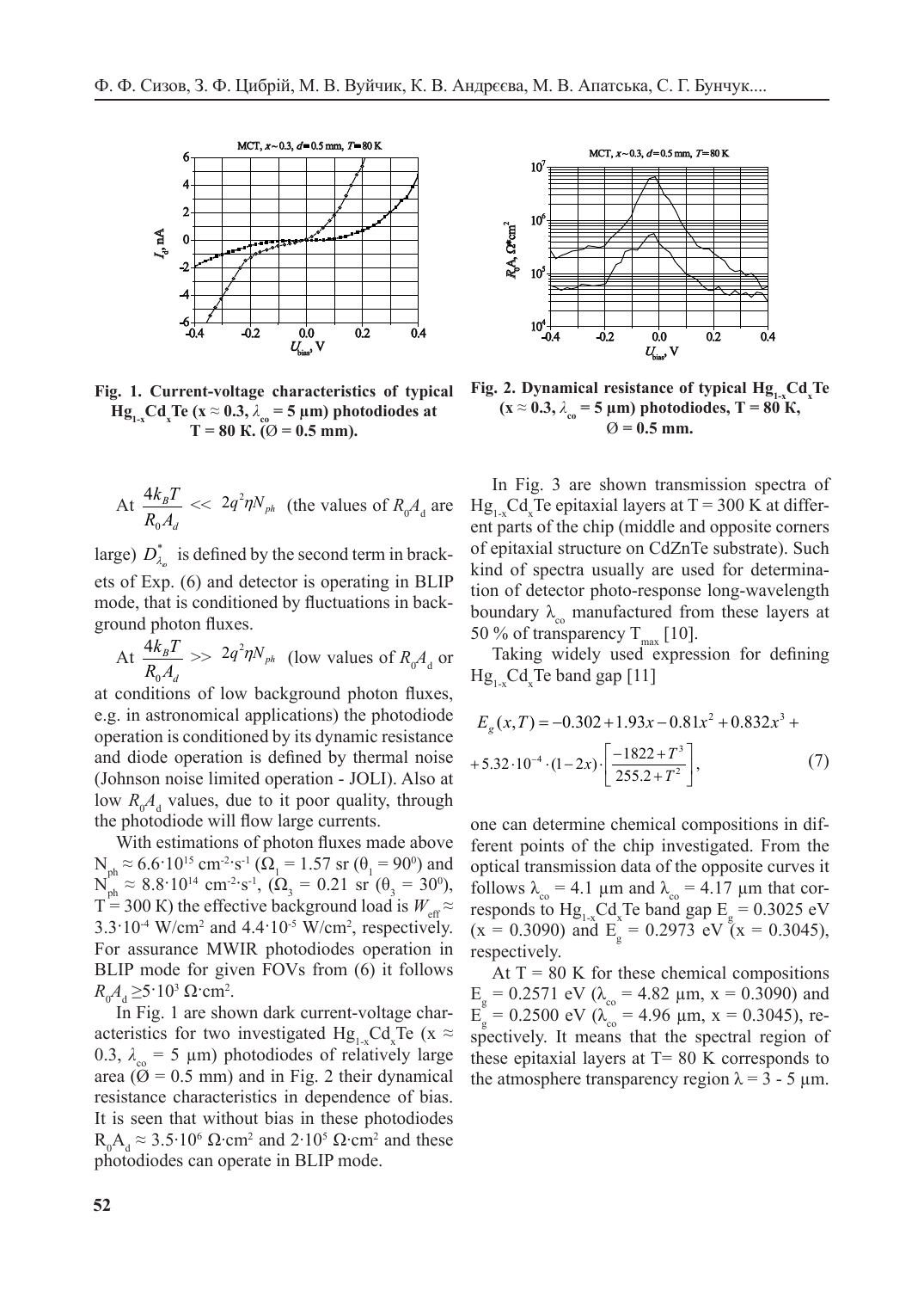

**Fig. 1. Current-voltage characteristics of typical**  $Hg_{1x}Cd_{x}Te(x \approx 0.3, \lambda_{co} = 5 \mu m)$  photodiodes at  $T = 80 \text{ K}$ . ( $\varnothing = 0.5 \text{ mm}$ ). **D**\* 5.5⋅1010 cm⋅Hz1/2/W, respectively.

At 
$$
\frac{4k_B T}{R_0 A_d} \ll 2q^2 \eta N_{ph}
$$
 (the values of  $R_0 A_d$  are

large)  $D_{\lambda_o}^*$  is defined by the second term in brackets of Exp. (6) and detector is operating in BLIP mode, that is conditioned by fluctuations in background photon fluxes. <u>Prode</u> that is conditioned by fluctuat

At *d B*  $R_0A$  $k_{\rm \scriptscriptstyle B}T$  $\boldsymbol{0}$  $\frac{4k_B T}{R_A}$  >>  $2q^2 \eta N_{ph}$  (low values of  $R_0 A_d$  or  $4kT$  2  $\lambda$  $R_0 A_d$  or at conditions of low background photons of low background photons of low background photons of low background photons of low background photons of low background photons of low background photons of low backgro  $\cdot$  t  $\cdot$ *B R A*  $\overline{I}$  $\overline{1}$  $\frac{k_B T}{k_B}$  >>  $2q^2 \eta N_{ph}$  (low values of *R<sub>0</sub>* nd photon fluxes.<br>  $\frac{4k_B T}{R_0 A_d}$  >>  $2q^2 \eta N_{ph}$  (low values of  $R_0 A_d$  or Taking widely used expression for defined the Cd Te band gap [11]

at conditions of low background photon fluxes, e.g. in astronomical applications) the photodiode  $E_g(x,T) = -0.302 + 1.93x$ operation is conditioned by its dynamic resistance and diode operation is defined by thermal noise  $+5.32 \cdot 10^{-4} \cdot (1-2x) \cdot \left| \frac{-1822 + T^3}{255.2 + T^2} \right|$ ,<br>(Johnson noise limited operation - JOLI). Also at (Johnson noise limited operation - JOLI). Also at low  $R_0A_d$  values, due to it poor quality, through  $d_0$  is the limit of limited by the limited by the limited by the limited by the limited by the limited by the limited by the limited by the limited by the limited by t the photodiode will flow large currents.  $R_0A_d$  values, due to it poor quality, through

With estimations of photon fluxes made above  $N_{ph} \approx 6.6 \cdot 10^{15}$  cm<sup>-2</sup>·s<sup>-1</sup> ( $\Omega_1 = 1.57$  sr ( $\theta_1 = 90^0$ ) and  $N_{ph} \approx 8.8 \cdot 10^{14}$  cm<sup>-2</sup>·s<sup>-1</sup>, ( $\Omega_3 = 0.21$  sr ( $\theta_3 = 30^{\circ}$ ),  $T = 300$  K) the effective background load is  $W_{\text{eff}} \approx$  responds to  $Hg_{1-x}Cd_xTe$  band ga  $3.3 \cdot 10^{-4}$  W/cm<sup>2</sup> and  $4.4 \cdot 10^{-5}$  W/cm<sup>2</sup>, respectively. For assurance MWIR photodiodes operation in BLIP mode for given FOVs from (6) it follows  $R_A > 5.103$  Ciam<sup>2</sup>  $R_0 A_d \ge 5.10^3 \Omega$  cm<sup>2</sup>. IP mode for given FOVs from (6) it follows At  $T = 80$  K for these chemical compositions  $N_{\text{ph}} \approx 6.6 \cdot 10^{15} \text{ cm}^{-2} \text{ s}^{-1} (\Omega_1 = 1.57 \text{ sr } (\theta_1 = 90^{\circ})$  $f_{\text{ph}} \approx 0.010 \text{ G}$  $f_{\text{ph}} \approx 0.6 \cdot 10^{10} \text{ cm}^{-2} \text{s}^{-1} \text{ (}\Omega_{1} = 1.5 \text{/ s} \text{r} \text{ (}\theta_{1} = 90^{\circ}\text{)} \text{ and}$ <br>  $f_{\text{ph}} \approx 8.8 \cdot 10^{14} \text{ cm}^{-2} \text{ s}^{-1} \text{ (}\Omega_{2} = 0.21 \text{ sr} \text{ (}\theta_{1} = 30^{\circ}\text{)} \text{)}$ BLIP mode for given FOVs from (6) it follows  $-1$ 

In Fig. 1 are shown dark current-voltage characteristics for two investigated  $Hg_{1-x}Cd_{x}Te$  (x  $\approx$  s. 0.3,  $\lambda_{\text{co}} = 5 \text{ }\mu\text{m}$ ) photodiodes of relatively large area  $(\emptyset = 0.5$  mm) and in Fig. 2 their dynamical the resistance characteristics in dependence of bias. It is seen that without bias in these photodiodes  $P_{\text{A}} \approx 2.5 \pm 0.6 \Omega_{\text{B}} \approx 1.2 \pm 0.5 \Omega_{\text{B}} \approx 1.4 \Omega_{\text{B}}$  $R_0A_d \approx 3.5.10^6 \Omega \cdot cm^2$  and  $2.10^5 \Omega \cdot cm^2$  and these photodiodes can operate in BLIP mode.  $\pi$  photodrouts of telatively target



**Fig. 2. Dynamical resistance of typical**  $\text{Hg}_{1-x} \text{Cd}_{x} \text{Te}$ **<br>**  $(x \approx 0.3, 1, -5, \text{um})$  **photodiodes**  $\text{T} = 90 \text{ V}$  $(\mathbf{x} \approx 0.3, \lambda_{\text{co}} = 5 \text{ }\mu\text{m}) \text{ photodiodes, T} = 80 \text{ K}$  $\varnothing$  = 0.5 mm.

In Fig. 3 are shown transmission spectra of  $Hg_{1-x}Cd_xT$ e epitaxial layers at  $T = 300$  K at different parts of the chip (middle and opposite corners of epitaxial structure on CdZnTe substrate). Such kind of spectra usually are used for determination of detector photo-response long-wavelength boundary  $\lambda_{\infty}$  manufactured from these layers at 50 % of transparency T [10] 50 % of transparency  $T_{\text{max}}$  [10].<br>Taking widely used express is *Weff ≈ 3.3⋅10-4 W/cm2 and 4.4⋅10-4.*<br>1.3⋅10-4 W/cm2 and 4.4⋅10-5 W/cm2 and 4.4⋅10-5 W/cm2 and 4.4⋅10-5 W/cm2 and 4.4 W , respectively. For assurance  $\mathbb{R}^n$ 

Taking widely used expression for defining  $Hg_{1-x}Cd_xTe$  band gap [11]  $\sum_{x}$  is omiged properties.

$$
E_g(x,T) = -0.302 + 1.93x - 0.81x^2 + 0.832x^3 +
$$
  
+5.32 \tcdot 10^{-4} \tcdot (1-2x) \cdot \left[ \frac{-1822 + T^3}{255.2 + T^2} \right], (7)

one can determine chemical compositions in different points of the chip investigated. From the optical transmission data of the opposite curves it out and  $\overline{A}$ follows  $\lambda_{\rm co} = 4.1 \mu \text{m}$  and  $\lambda_{\rm co} = 4.17 \mu \text{m}$  that corresponds to  $Hg_{1-x}^C C d_x^T$  Te band gap  $E_g = 0.3025$  eV  $(x = 0.3090)$  and  $E<sub>g</sub> = 0.2973$  eV  $(x = 0.3045)$ , respectively.  $\mathbf{r} = \mathbf{r} \cdot \mathbf{r}$ ⋅s  $\ddot{a}$ ,  $\ddot{a}$ .<br>. In the state of them, respectively.  $(X - 0.9090)$  and  $E_g - 0.2975$  CV  $(X - 0.9040)$ ,  $\frac{1}{2000}$  and  $\frac{1}{2} = 0.3073$  and  $\frac{1}{2} = 0.30$  $\text{trivial}\ \mathbf{v}$ ds to  $Hg_{1-x}Cd_xTe$  band gap  $E_g =$  $eV(x = 0.1$ 

 $E<sub>g</sub>$  = 0.2571 eV (λ<sub>co</sub> = 4.82 μm, x = 0.3090) and  $E_g = 0.2571$  eV (λ<sub>co</sub> = 4.62 μm, x = 0.3090) and<br>In Fig. 1 are shown dark current-voltage char-<br> $E_g = 0.2500$  eV (λ<sub>co</sub> = 4.96 μm, x = 0.3045), reeristics for two investigated  $Hg_{1,x}Cd_{x}Te$  (x  $\approx$  spectively. It means that the spectral region of these epitaxial layers at  $T = 80 \text{ K}$  corresponds to the atmosphere transparency region  $\lambda = 3 - 5 \mu m$ .  $\sim$   $\mu$  $x_1 + y_2 + z_3 = 0$  $\frac{1}{2}$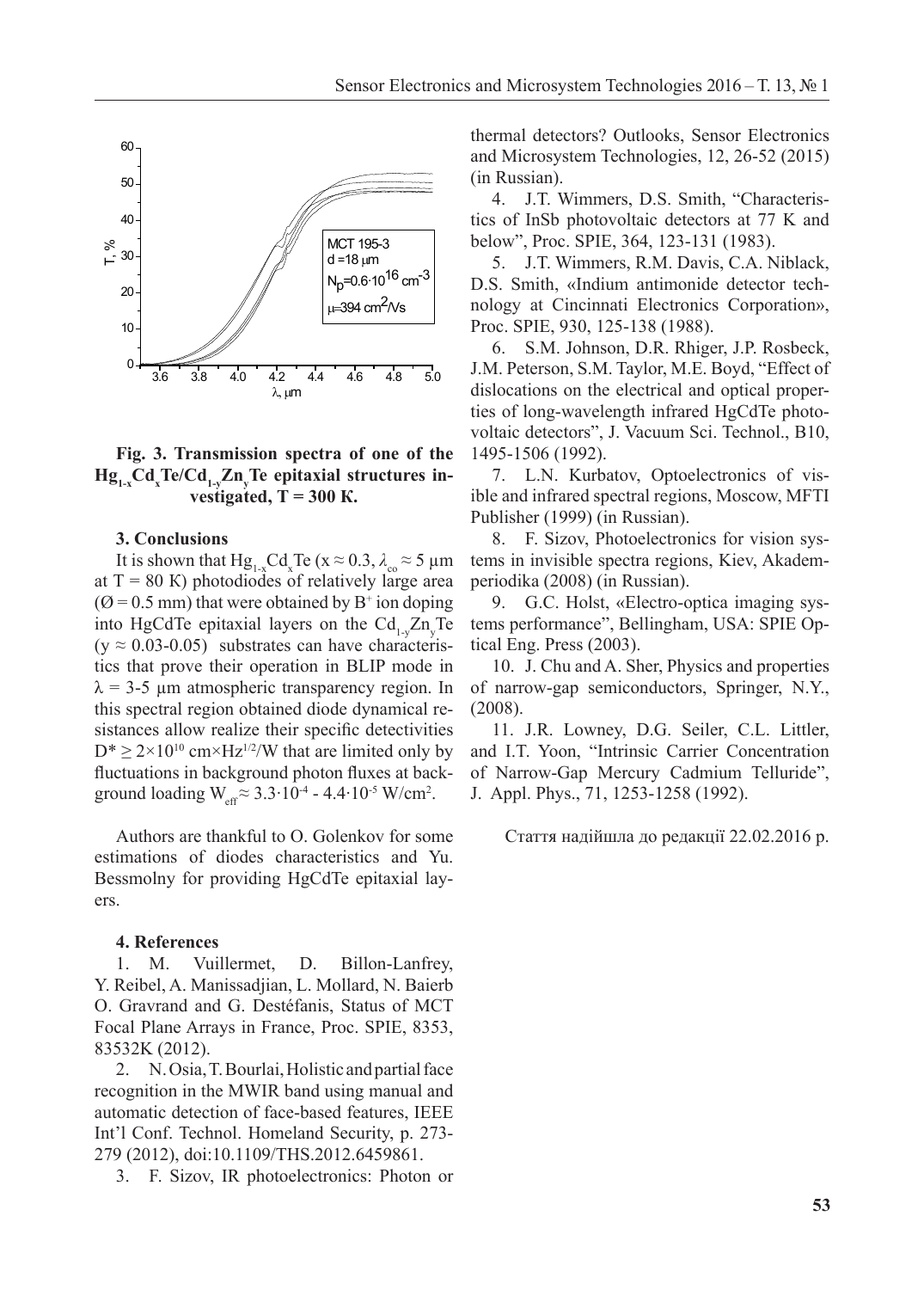

# Fig. 3. Transmission spectra of one of the **Hg**<sub>1-x</sub>Cd<sub>x</sub>Te/Cd<sub>1-y</sub>Zn<sub>y</sub>Te epitaxial structures investigated,  $T = 300$  K.

# 3. Conclusions

It is shown that  $Hg_{1-x}Cd_xTe(x \approx 0.3, \lambda_{co} \approx 5 \mu m)$ at  $T = 80$  K) photodiodes of relatively large area  $(\emptyset = 0.5 \text{ mm})$  that were obtained by B<sup>+</sup> ion doping into HgCdTe epitaxial layers on the  $Cd_{1-y}Zn_yTe$  $(y \approx 0.03-0.05)$  substrates can have characteris- tical Eng. Press (2003). tics that prove their operation in BLIP mode in  $\lambda$  = 3-5 µm atmospheric transparency region. In this spectral region obtained diode dynamical re-  $(2008)$ .<br>cistances allow realize their operation detectivities can be characterized by  $\Gamma$  owners. D.G. Seiler, C.L. Littler sistances allow realize their specific detectivities  $D^* \ge 2 \times 10^{10}$  cm×Hz<sup>1/2</sup>/W that are limited only by and I.T. Yoon, "Intrinsic Carrier Concentration" fluctuations in background photon fluxes at backtics that prove their operation in BLIP mode in 10. J. Chu and A. Sher, Physics and properties  $\lambda = 3.5$  um atmospheric transparency region. In of parrow can semiconductors Springer, N.Y.

Authors are thankful to O. Golenkov for some estimations of diodes characteristics and Yu. Bessmolny for providing HgCdTe epitaxial layers. Authors are thankful to O. Golenkov for some Стаття надійшла до редакції 22.02.2016 р.

#### **4. References 4.** References

1. M. Vuillermet, D. Billon-Lanfrey, Y. Reibel, A. Manissadjian, L. Mollard, N. Baierb O. Gravrand and G. Destéfanis, Status of MCT Focal Plane Arrays in France, Proc. SPIE, 8353, 83532K (2012).

2. N. Osia, T. Bourlai, Holistic and partial face recognition in the MWIR band using manual and automatic detection of face-based features, IEEE and G. Destefance of McChannel Conference, *Channel Content Content Content Content Content Content Content Content* Plane Arrays in France, *Proc.* Supported Arrays in France, *8333*, 83532 279 (2012), doi:10.1109/THS.2012.6459861. (2012).

3. F. Sizov, IR photoelectronics: Photon or

thermal detectors? Outlooks, Sensor Electronics and Microsystem Technologies, 12, 26-52 (2015) (in Russian).  $\overline{a}$  transmission data of the opposite data of the opposite data of the opposite data of the opposite data of the opposite data of the opposite data of the opposite data of the opposite data of the opposite data of th

4. J.T. Wimmers, D.S. Smith, "Characteristics of InSb photovoltaic detectors at 77 K and below", Proc. SPIE, 364, 123-131 (1983).

5. J.T. Wimmers, R.M. Davis, C.A. Niblack,  $\Sigma$ , Surither the linear estimation detector to the D.S. Smith, «Indium antimonide detector technology at Cincinnati Electronics Corporation», Proc. SPIE, 930, 125-138 (1988).

6. S.M. Johnson, D.R. Rhiger, J.P. Rosbeck, J.M. Peterson, S.M. Taylor, M.E. Boyd, "Effect of dislocations on the electrical and optical properties of long-wavelength infrared HgCdTe photovoltaic detectors", J. Vacuum Sci. Technol., B10, 1495-1506 (1992).

95-1500 (1992).<br>7. L.N. Kurbatov, Optoelectronics of vis- $\mu$  ible and infrared spectral regions, Moscow, MFTI Publisher (1999) (in Russian).

8. F. Sizov, Photoelectronics for vision systems in invisible spectra regions, Kiev, Akademperiodika (2008) (in Russian).

9. G.C. Holst, «Electro-optica imaging systems performance", Bellingham, USA: SPIE Optical Eng. Press (2003).

of narrow-gap semiconductors, Springer, N.Y., (2008).

ground loading  $W_{\text{eff}} \approx 3.3 \cdot 10^{-4} - 4.4 \cdot 10^{-5} \text{ W/cm}^2$ . J. Appl. Phys., 71, 1253-1258 (1992). 11. J.R. Lowney, D.G. Seiler, C.L. Littler, and I.T. Yoon, "Intrinsic Carrier Concentration of Narrow-Gap Mercury Cadmium Telluride", J. Appl. Phys., 71, 1253-1258 (1992).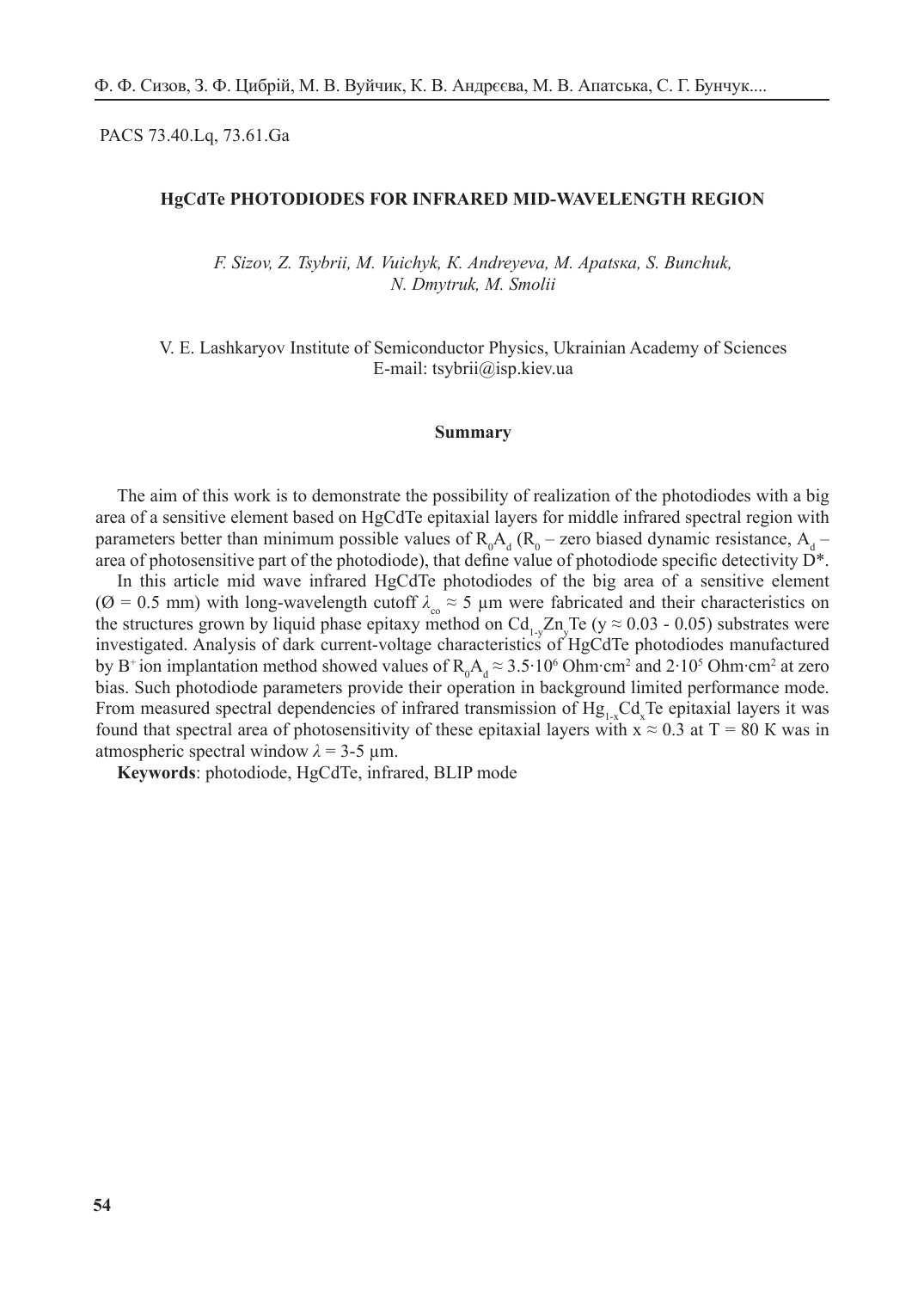PACS 73.40.Lq, 73.61.Ga

### **HgCdTe PHOTODIODES FOR INFRARED MID-WAVELENGTH REGION**

*F. Sizov, Z. Tsybrii, M. Vuichyk, К. Аndreyeva, М. Аpatsка, S. Bunchuk, N. Dmytruk, М. Smolii*

V. E. Lashkaryov Institute of Semiconductor Physics, Ukrainian Academy of Sciences E-mail: tsybrii@isp.kiev.ua

#### **Summary**

The aim of this work is to demonstrate the possibility of realization of the photodiodes with a big area of a sensitive element based on HgCdTe epitaxial layers for middle infrared spectral region with parameters better than minimum possible values of  $R_0A_d (R_0$  – zero biased dynamic resistance,  $A_d$  – area of photosensitive part of the photodiode), that define value of photodiode specific detectivity  $\vec{D}^*$ .

In this article mid wave infrared HgCdTe photodiodes of the big area of a sensitive element ( $\varnothing$  = 0.5 mm) with long-wavelength cutoff  $\lambda_{\infty} \approx 5$  µm were fabricated and their characteristics on the structures grown by liquid phase epitaxy method on  $Cd_{1-y}Zn_yTe$  (y  $\approx 0.03$  - 0.05) substrates were investigated. Analysis of dark current-voltage characteristics of HgCdTe photodiodes manufactured by B<sup>+</sup> ion implantation method showed values of  $R_0A_d \approx 3.5 \cdot 10^6$  Ohm∙cm<sup>2</sup> and 2⋅10<sup>5</sup> Ohm⋅cm<sup>2</sup> at zero bias. Such photodiode parameters provide their operation in background limited performance mode. From measured spectral dependencies of infrared transmission of  $Hg_{1-x}Cd_xTe$  epitaxial layers it was found that spectral area of photosensitivity of these epitaxial layers with  $x \approx 0.3$  at T = 80 K was in atmospheric spectral window *λ* = 3-5 µm.

**Keywords**: photodiode, HgCdTe, infrared, BLIP mode